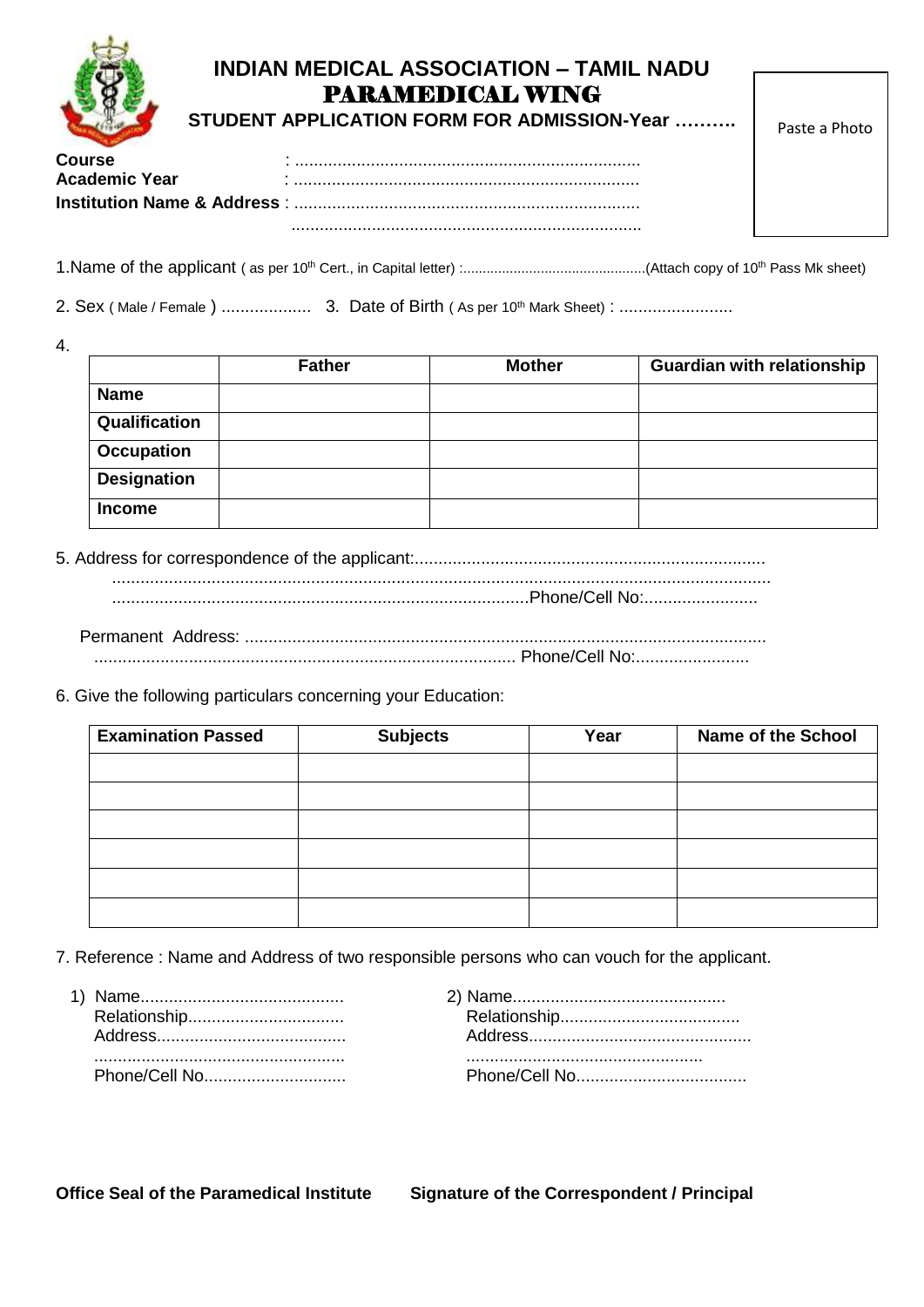

## **INDIAN MEDICAL ASSOCIATION – TAMIL NADU** PARAMEDICAL WING

**STUDENT APPLICATION FORM FOR ADMISSION-Year ……….**

Paste a Photo

| <b>Course</b>        | $\blacksquare$ |
|----------------------|----------------|
| <b>Academic Year</b> | $\blacksquare$ |
|                      |                |
|                      |                |

1.Name of the applicant ( as per 10th Cert., in Capital letter) :...............................................(Attach copy of 10th Pass Mk sheet)

2. Sex ( Male / Female ) ................... 3. Date of Birth ( As per 10th Mark Sheet) : ........................

4.

|                    | <b>Father</b> | <b>Mother</b> | <b>Guardian with relationship</b> |
|--------------------|---------------|---------------|-----------------------------------|
| <b>Name</b>        |               |               |                                   |
| Qualification      |               |               |                                   |
| <b>Occupation</b>  |               |               |                                   |
| <b>Designation</b> |               |               |                                   |
| <b>Income</b>      |               |               |                                   |

5. Address for correspondence of the applicant:..........................................................................

........................................................................................................................................... ........................................................................................Phone/Cell No:........................

 Permanent Address: .............................................................................................................. ......................................................................................... Phone/Cell No:........................

6. Give the following particulars concerning your Education:

| <b>Examination Passed</b> | <b>Subjects</b> | Year | <b>Name of the School</b> |  |
|---------------------------|-----------------|------|---------------------------|--|
|                           |                 |      |                           |  |
|                           |                 |      |                           |  |
|                           |                 |      |                           |  |
|                           |                 |      |                           |  |
|                           |                 |      |                           |  |
|                           |                 |      |                           |  |

7. Reference : Name and Address of two responsible persons who can vouch for the applicant.

 1) Name........................................... 2) Name............................................. Relationship................................. Relationship...................................... Address........................................ Address............................................... ..................................................... .................................................. Phone/Cell No................................

**Office Seal of the Paramedical Institute Signature of the Correspondent / Principal**